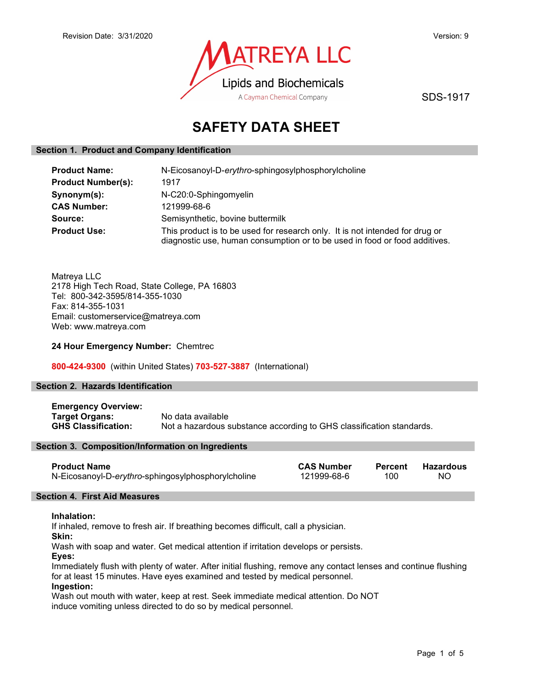

SDS-1917

# SAFETY DATA SHEET

#### Section 1. Product and Company Identification

| <b>Product Name:</b>      | N-Eicosanoyl-D-erythro-sphingosylphosphorylcholine                                                                                                         |  |  |
|---------------------------|------------------------------------------------------------------------------------------------------------------------------------------------------------|--|--|
| <b>Product Number(s):</b> | 1917                                                                                                                                                       |  |  |
| Synonym(s):               | N-C20:0-Sphingomyelin                                                                                                                                      |  |  |
| <b>CAS Number:</b>        | 121999-68-6                                                                                                                                                |  |  |
| Source:                   | Semisynthetic, bovine buttermilk                                                                                                                           |  |  |
| <b>Product Use:</b>       | This product is to be used for research only. It is not intended for drug or<br>diagnostic use, human consumption or to be used in food or food additives. |  |  |

Matreya LLC 2178 High Tech Road, State College, PA 16803 Tel: 800-342-3595/814-355-1030 Fax: 814-355-1031 Email: customerservice@matreya.com Web: www.matreya.com

#### 24 Hour Emergency Number: Chemtrec

800-424-9300 (within United States) 703-527-3887 (International)

#### Section 2. Hazards Identification

Emergency Overview: Target Organs: No data available<br>
GHS Classification: Not a hazardous s Not a hazardous substance according to GHS classification standards.

#### Section 3. Composition/Information on Ingredients

| <b>Product Name</b>                                | <b>CAS Number</b> | Percent | Hazardous |
|----------------------------------------------------|-------------------|---------|-----------|
| N-Eicosanoyl-D-erythro-sphingosylphosphorylcholine | 121999-68-6       | 100     | NO.       |

#### Section 4. First Aid Measures

#### Inhalation:

If inhaled, remove to fresh air. If breathing becomes difficult, call a physician.

Skin:

Wash with soap and water. Get medical attention if irritation develops or persists.

Eyes:

Immediately flush with plenty of water. After initial flushing, remove any contact lenses and continue flushing for at least 15 minutes. Have eyes examined and tested by medical personnel.

#### Ingestion:

Wash out mouth with water, keep at rest. Seek immediate medical attention. Do NOT induce vomiting unless directed to do so by medical personnel.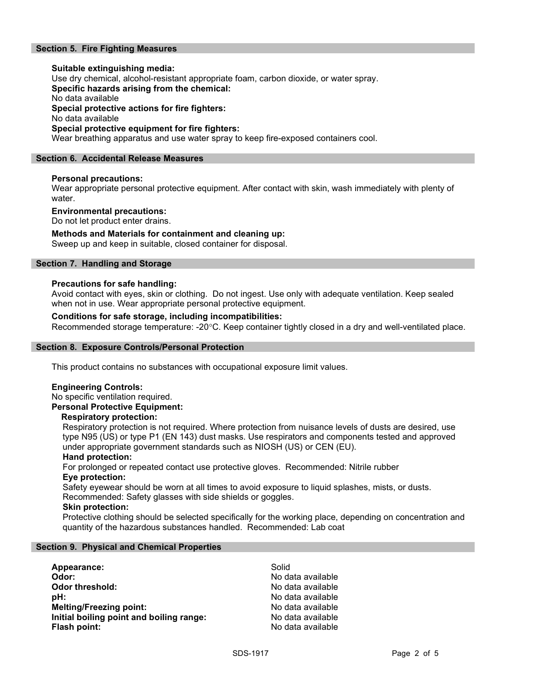# Section 5. Fire Fighting Measures

# Suitable extinguishing media: Use dry chemical, alcohol-resistant appropriate foam, carbon dioxide, or water spray. Specific hazards arising from the chemical: No data available Special protective actions for fire fighters: No data available Special protective equipment for fire fighters:

Wear breathing apparatus and use water spray to keep fire-exposed containers cool.

#### Section 6. Accidental Release Measures

#### Personal precautions:

Wear appropriate personal protective equipment. After contact with skin, wash immediately with plenty of water.

#### Environmental precautions:

Do not let product enter drains.

#### Methods and Materials for containment and cleaning up:

Sweep up and keep in suitable, closed container for disposal.

### Section 7. Handling and Storage

#### Precautions for safe handling:

Avoid contact with eyes, skin or clothing. Do not ingest. Use only with adequate ventilation. Keep sealed when not in use. Wear appropriate personal protective equipment.

#### Conditions for safe storage, including incompatibilities:

Recommended storage temperature: -20°C. Keep container tightly closed in a dry and well-ventilated place.

#### Section 8. Exposure Controls/Personal Protection

This product contains no substances with occupational exposure limit values.

#### Engineering Controls:

No specific ventilation required. Personal Protective Equipment:

#### Respiratory protection:

Respiratory protection is not required. Where protection from nuisance levels of dusts are desired, use type N95 (US) or type P1 (EN 143) dust masks. Use respirators and components tested and approved under appropriate government standards such as NIOSH (US) or CEN (EU).

#### Hand protection:

For prolonged or repeated contact use protective gloves. Recommended: Nitrile rubber Eye protection:

Safety eyewear should be worn at all times to avoid exposure to liquid splashes, mists, or dusts. Recommended: Safety glasses with side shields or goggles.

#### Skin protection:

Protective clothing should be selected specifically for the working place, depending on concentration and quantity of the hazardous substances handled. Recommended: Lab coat

#### Section 9. Physical and Chemical Properties

| Appearance:                              | Solid             |
|------------------------------------------|-------------------|
| Odor:                                    | No data available |
| <b>Odor threshold:</b>                   | No data available |
| pH:                                      | No data available |
| <b>Melting/Freezing point:</b>           | No data available |
| Initial boiling point and boiling range: | No data available |
| Flash point:                             | No data available |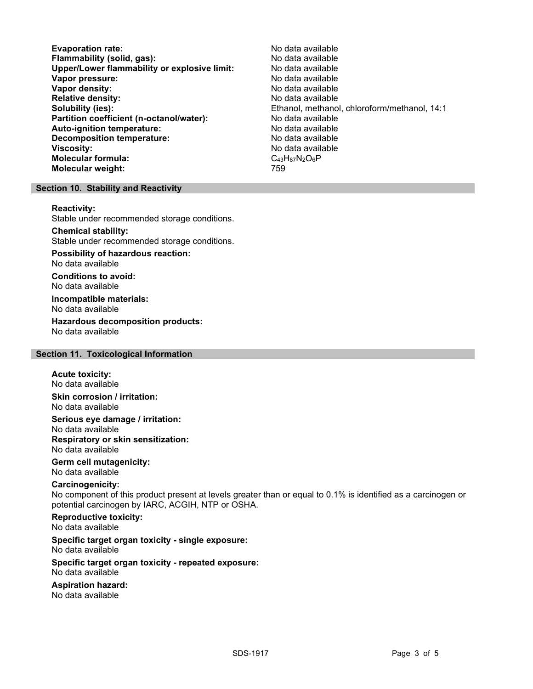Evaporation rate:<br>
Flammability (solid. gas): No data available Flammability (solid, gas):<br>
Upper/Lower flammability or explosive limit: No data available Upper/Lower flammability or explosive limit: Vapor pressure:  $\blacksquare$ Vapor density: No data available Relative density:<br>
Solubility (ies):<br>
Solubility (ies):<br>
Solubility (ies): Partition coefficient (n-octanol/water): No data available Auto-ignition temperature: No data available Decomposition temperature: No data available Viscosity: No data available Molecular formula: C43H87N2O6P Molecular weight: 759

Ethanol, methanol, chloroform/methanol, 14:1

#### Section 10. Stability and Reactivity

#### Reactivity:

Stable under recommended storage conditions.

#### Chemical stability:

Stable under recommended storage conditions.

# Possibility of hazardous reaction:

No data available

Conditions to avoid: No data available

#### Incompatible materials: No data available

Hazardous decomposition products: No data available

# Section 11. Toxicological Information

#### Acute toxicity: No data available

Skin corrosion / irritation: No data available

Serious eye damage / irritation: No data available Respiratory or skin sensitization: No data available

#### Germ cell mutagenicity: No data available

#### Carcinogenicity:

No component of this product present at levels greater than or equal to 0.1% is identified as a carcinogen or potential carcinogen by IARC, ACGIH, NTP or OSHA.

# Reproductive toxicity:

No data available

# Specific target organ toxicity - single exposure:

No data available

#### Specific target organ toxicity - repeated exposure: No data available

# Aspiration hazard:

No data available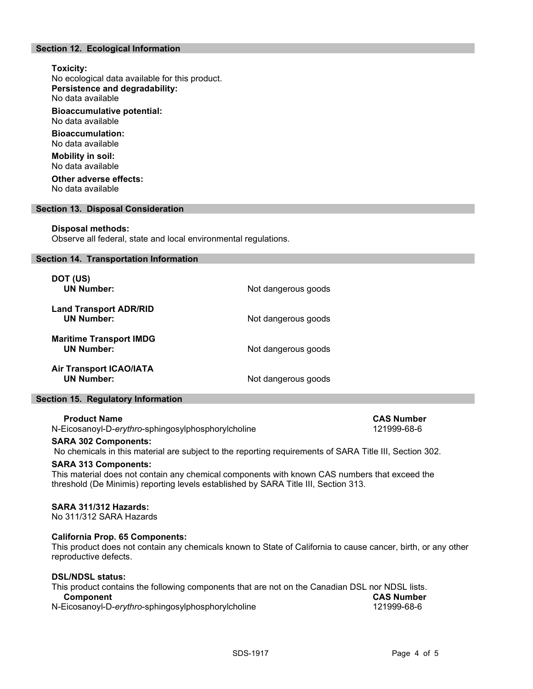# Section 12. Ecological Information

#### Toxicity:

No ecological data available for this product. Persistence and degradability: No data available

Bioaccumulative potential: No data available

Bioaccumulation: No data available

Mobility in soil: No data available

Other adverse effects: No data available

#### Section 13. Disposal Consideration

#### Disposal methods:

Observe all federal, state and local environmental regulations.

#### Section 14. Transportation Information

| DOT (US)<br><b>UN Number:</b>                       | Not dangerous goods |
|-----------------------------------------------------|---------------------|
| <b>Land Transport ADR/RID</b><br><b>UN Number:</b>  | Not dangerous goods |
| <b>Maritime Transport IMDG</b><br><b>UN Number:</b> | Not dangerous goods |
| <b>Air Transport ICAO/IATA</b><br><b>UN Number:</b> | Not dangerous goods |

#### Section 15. Regulatory Information

Product Name<br>Eicosanovl-D-*ervthro*-sphingosylphosphorylcholine 121999-68-6 N-Eicosanoyl-D-erythro-sphingosylphosphorylcholine

#### SARA 302 Components:

No chemicals in this material are subject to the reporting requirements of SARA Title III, Section 302.

#### SARA 313 Components:

This material does not contain any chemical components with known CAS numbers that exceed the threshold (De Minimis) reporting levels established by SARA Title III, Section 313.

#### SARA 311/312 Hazards:

No 311/312 SARA Hazards

#### California Prop. 65 Components:

This product does not contain any chemicals known to State of California to cause cancer, birth, or any other reproductive defects.

#### DSL/NDSL status:

| This product contains the following components that are not on the Canadian DSL nor NDSL lists. |                   |
|-------------------------------------------------------------------------------------------------|-------------------|
| <b>Component</b>                                                                                | <b>CAS Number</b> |
| N-Eicosanoyl-D-erythro-sphingosylphosphorylcholine                                              | 121999-68-6       |